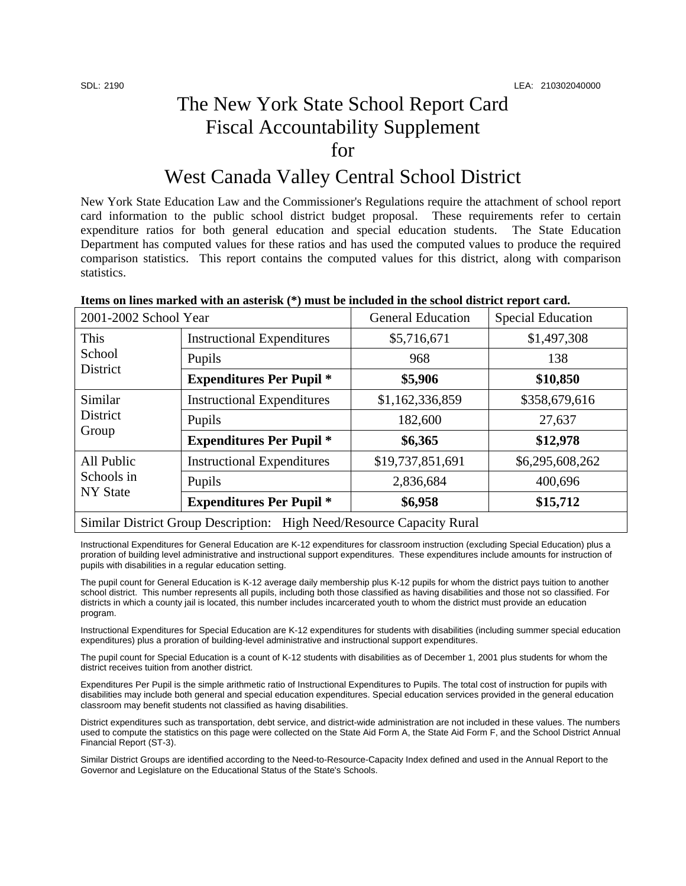## The New York State School Report Card Fiscal Accountability Supplement for

### West Canada Valley Central School District

New York State Education Law and the Commissioner's Regulations require the attachment of school report card information to the public school district budget proposal. These requirements refer to certain expenditure ratios for both general education and special education students. The State Education Department has computed values for these ratios and has used the computed values to produce the required comparison statistics. This report contains the computed values for this district, along with comparison statistics.

| Items on lines marked with an asterisk (*) must be included in the school district report card. |  |
|-------------------------------------------------------------------------------------------------|--|
|                                                                                                 |  |

| 2001-2002 School Year                                                 |                                   | <b>General Education</b> | <b>Special Education</b> |  |
|-----------------------------------------------------------------------|-----------------------------------|--------------------------|--------------------------|--|
| This<br>School<br>District                                            | <b>Instructional Expenditures</b> | \$5,716,671              | \$1,497,308              |  |
|                                                                       | Pupils                            | 968                      | 138                      |  |
|                                                                       | <b>Expenditures Per Pupil</b> *   | \$5,906                  | \$10,850                 |  |
| Similar<br><b>District</b><br>Group                                   | <b>Instructional Expenditures</b> | \$1,162,336,859          | \$358,679,616            |  |
|                                                                       | Pupils                            | 182,600                  | 27,637                   |  |
|                                                                       | <b>Expenditures Per Pupil</b> *   | \$6,365                  | \$12,978                 |  |
| All Public<br>Schools in<br><b>NY State</b>                           | <b>Instructional Expenditures</b> | \$19,737,851,691         | \$6,295,608,262          |  |
|                                                                       | Pupils                            | 2,836,684                | 400,696                  |  |
|                                                                       | <b>Expenditures Per Pupil</b> *   | \$6,958                  | \$15,712                 |  |
| Similar District Group Description: High Need/Resource Capacity Rural |                                   |                          |                          |  |

Instructional Expenditures for General Education are K-12 expenditures for classroom instruction (excluding Special Education) plus a proration of building level administrative and instructional support expenditures. These expenditures include amounts for instruction of pupils with disabilities in a regular education setting.

The pupil count for General Education is K-12 average daily membership plus K-12 pupils for whom the district pays tuition to another school district. This number represents all pupils, including both those classified as having disabilities and those not so classified. For districts in which a county jail is located, this number includes incarcerated youth to whom the district must provide an education program.

Instructional Expenditures for Special Education are K-12 expenditures for students with disabilities (including summer special education expenditures) plus a proration of building-level administrative and instructional support expenditures.

The pupil count for Special Education is a count of K-12 students with disabilities as of December 1, 2001 plus students for whom the district receives tuition from another district.

Expenditures Per Pupil is the simple arithmetic ratio of Instructional Expenditures to Pupils. The total cost of instruction for pupils with disabilities may include both general and special education expenditures. Special education services provided in the general education classroom may benefit students not classified as having disabilities.

District expenditures such as transportation, debt service, and district-wide administration are not included in these values. The numbers used to compute the statistics on this page were collected on the State Aid Form A, the State Aid Form F, and the School District Annual Financial Report (ST-3).

Similar District Groups are identified according to the Need-to-Resource-Capacity Index defined and used in the Annual Report to the Governor and Legislature on the Educational Status of the State's Schools.